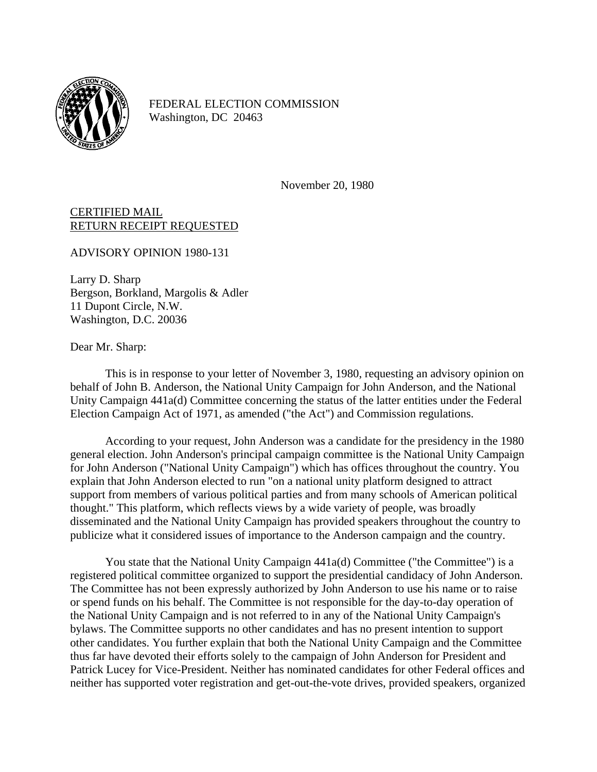

FEDERAL ELECTION COMMISSION Washington, DC 20463

November 20, 1980

CERTIFIED MAIL RETURN RECEIPT REQUESTED

ADVISORY OPINION 1980-131

Larry D. Sharp Bergson, Borkland, Margolis & Adler 11 Dupont Circle, N.W. Washington, D.C. 20036

Dear Mr. Sharp:

This is in response to your letter of November 3, 1980, requesting an advisory opinion on behalf of John B. Anderson, the National Unity Campaign for John Anderson, and the National Unity Campaign 441a(d) Committee concerning the status of the latter entities under the Federal Election Campaign Act of 1971, as amended ("the Act") and Commission regulations.

According to your request, John Anderson was a candidate for the presidency in the 1980 general election. John Anderson's principal campaign committee is the National Unity Campaign for John Anderson ("National Unity Campaign") which has offices throughout the country. You explain that John Anderson elected to run "on a national unity platform designed to attract support from members of various political parties and from many schools of American political thought." This platform, which reflects views by a wide variety of people, was broadly disseminated and the National Unity Campaign has provided speakers throughout the country to publicize what it considered issues of importance to the Anderson campaign and the country.

You state that the National Unity Campaign  $441a(d)$  Committee ("the Committee") is a registered political committee organized to support the presidential candidacy of John Anderson. The Committee has not been expressly authorized by John Anderson to use his name or to raise or spend funds on his behalf. The Committee is not responsible for the day-to-day operation of the National Unity Campaign and is not referred to in any of the National Unity Campaign's bylaws. The Committee supports no other candidates and has no present intention to support other candidates. You further explain that both the National Unity Campaign and the Committee thus far have devoted their efforts solely to the campaign of John Anderson for President and Patrick Lucey for Vice-President. Neither has nominated candidates for other Federal offices and neither has supported voter registration and get-out-the-vote drives, provided speakers, organized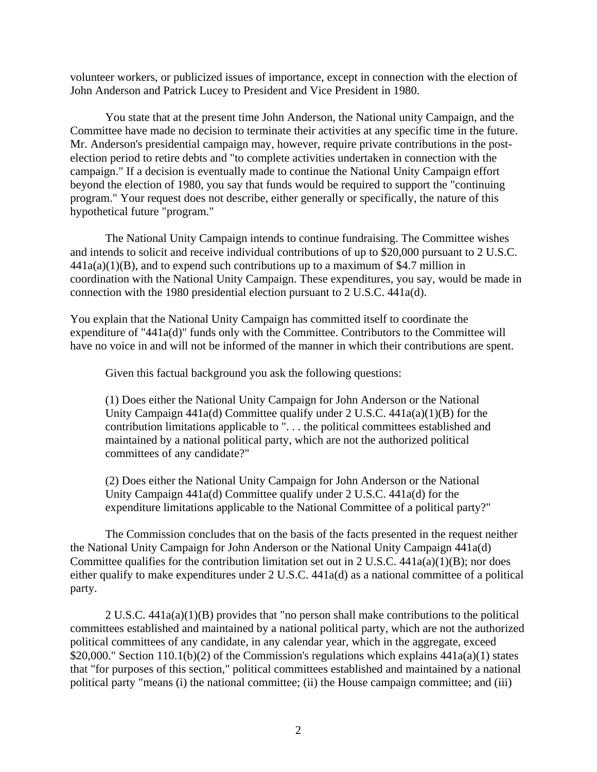volunteer workers, or publicized issues of importance, except in connection with the election of John Anderson and Patrick Lucey to President and Vice President in 1980.

You state that at the present time John Anderson, the National unity Campaign, and the Committee have made no decision to terminate their activities at any specific time in the future. Mr. Anderson's presidential campaign may, however, require private contributions in the postelection period to retire debts and "to complete activities undertaken in connection with the campaign." If a decision is eventually made to continue the National Unity Campaign effort beyond the election of 1980, you say that funds would be required to support the "continuing program." Your request does not describe, either generally or specifically, the nature of this hypothetical future "program."

The National Unity Campaign intends to continue fundraising. The Committee wishes and intends to solicit and receive individual contributions of up to \$20,000 pursuant to 2 U.S.C.  $441a(a)(1)(B)$ , and to expend such contributions up to a maximum of \$4.7 million in coordination with the National Unity Campaign. These expenditures, you say, would be made in connection with the 1980 presidential election pursuant to 2 U.S.C. 441a(d).

You explain that the National Unity Campaign has committed itself to coordinate the expenditure of "441a(d)" funds only with the Committee. Contributors to the Committee will have no voice in and will not be informed of the manner in which their contributions are spent.

Given this factual background you ask the following questions:

(1) Does either the National Unity Campaign for John Anderson or the National Unity Campaign  $441a(d)$  Committee qualify under 2 U.S.C.  $441a(a)(1)(B)$  for the contribution limitations applicable to ". . . the political committees established and maintained by a national political party, which are not the authorized political committees of any candidate?"

(2) Does either the National Unity Campaign for John Anderson or the National Unity Campaign 441a(d) Committee qualify under 2 U.S.C. 441a(d) for the expenditure limitations applicable to the National Committee of a political party?"

The Commission concludes that on the basis of the facts presented in the request neither the National Unity Campaign for John Anderson or the National Unity Campaign 441a(d) Committee qualifies for the contribution limitation set out in 2 U.S.C.  $441a(a)(1)(B)$ ; nor does either qualify to make expenditures under 2 U.S.C. 441a(d) as a national committee of a political party.

2 U.S.C. 441a(a)(1)(B) provides that "no person shall make contributions to the political committees established and maintained by a national political party, which are not the authorized political committees of any candidate, in any calendar year, which in the aggregate, exceed \$20,000." Section 110.1(b)(2) of the Commission's regulations which explains  $441a(a)(1)$  states that "for purposes of this section," political committees established and maintained by a national political party "means (i) the national committee; (ii) the House campaign committee; and (iii)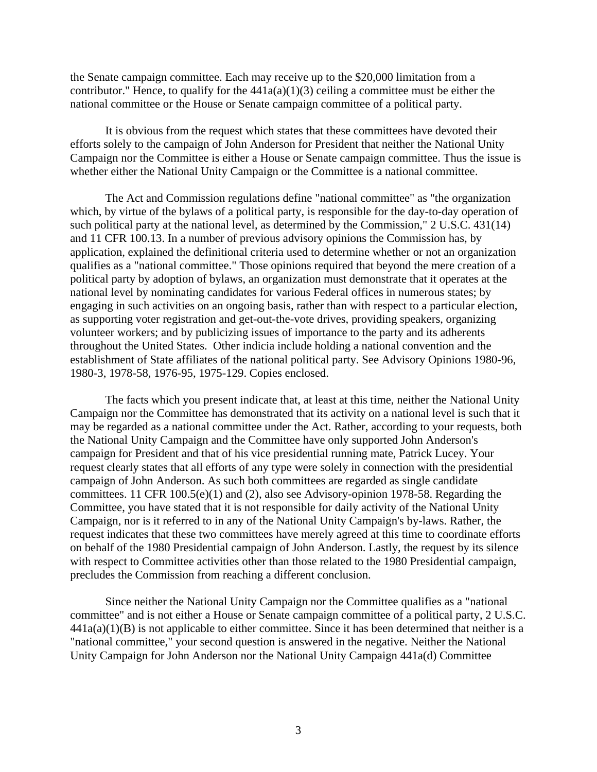the Senate campaign committee. Each may receive up to the \$20,000 limitation from a contributor." Hence, to qualify for the  $441a(a)(1)(3)$  ceiling a committee must be either the national committee or the House or Senate campaign committee of a political party.

It is obvious from the request which states that these committees have devoted their efforts solely to the campaign of John Anderson for President that neither the National Unity Campaign nor the Committee is either a House or Senate campaign committee. Thus the issue is whether either the National Unity Campaign or the Committee is a national committee.

The Act and Commission regulations define "national committee" as "the organization which, by virtue of the bylaws of a political party, is responsible for the day-to-day operation of such political party at the national level, as determined by the Commission," 2 U.S.C. 431(14) and 11 CFR 100.13. In a number of previous advisory opinions the Commission has, by application, explained the definitional criteria used to determine whether or not an organization qualifies as a "national committee." Those opinions required that beyond the mere creation of a political party by adoption of bylaws, an organization must demonstrate that it operates at the national level by nominating candidates for various Federal offices in numerous states; by engaging in such activities on an ongoing basis, rather than with respect to a particular election, as supporting voter registration and get-out-the-vote drives, providing speakers, organizing volunteer workers; and by publicizing issues of importance to the party and its adherents throughout the United States. Other indicia include holding a national convention and the establishment of State affiliates of the national political party. See Advisory Opinions 1980-96, 1980-3, 1978-58, 1976-95, 1975-129. Copies enclosed.

The facts which you present indicate that, at least at this time, neither the National Unity Campaign nor the Committee has demonstrated that its activity on a national level is such that it may be regarded as a national committee under the Act. Rather, according to your requests, both the National Unity Campaign and the Committee have only supported John Anderson's campaign for President and that of his vice presidential running mate, Patrick Lucey. Your request clearly states that all efforts of any type were solely in connection with the presidential campaign of John Anderson. As such both committees are regarded as single candidate committees. 11 CFR 100.5(e)(1) and (2), also see Advisory-opinion 1978-58. Regarding the Committee, you have stated that it is not responsible for daily activity of the National Unity Campaign, nor is it referred to in any of the National Unity Campaign's by-laws. Rather, the request indicates that these two committees have merely agreed at this time to coordinate efforts on behalf of the 1980 Presidential campaign of John Anderson. Lastly, the request by its silence with respect to Committee activities other than those related to the 1980 Presidential campaign, precludes the Commission from reaching a different conclusion.

Since neither the National Unity Campaign nor the Committee qualifies as a "national committee" and is not either a House or Senate campaign committee of a political party, 2 U.S.C.  $441a(a)(1)(B)$  is not applicable to either committee. Since it has been determined that neither is a "national committee," your second question is answered in the negative. Neither the National Unity Campaign for John Anderson nor the National Unity Campaign 441a(d) Committee